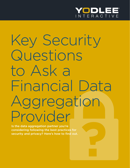

### Key Security Questions to Ask a Financial Data Aggregation Provider

Is the data aggregation partner you're considering following the best practices for security and privacy? Here's how to find out.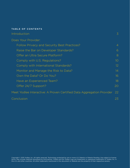### TABLE OF CONTENTS

| Introduction                                                          | $\overline{\mathcal{S}}$ |
|-----------------------------------------------------------------------|--------------------------|
| Does Your Provider:                                                   |                          |
| <b>Follow Privacy and Security Best Practices?</b>                    | $\overline{4}$           |
| Raise the Bar on Developer Standards?                                 | 6                        |
| Offer an Ultra Secure Platform?                                       | 8                        |
| Comply with U.S. Regulations?                                         | 10 <sup>°</sup>          |
| Comply with International Standards?                                  | 12 <sup>°</sup>          |
| Monitor and Manage the Risk to Data?                                  | 14                       |
| Own the Data? Or Do You?                                              | 16                       |
| Have an Experienced Team?                                             | 18                       |
| Offer 24/7 Support?                                                   | 20                       |
| Meet Yodlee Interactive: A Proven Certified Data Aggregation Provider | 22                       |
| Conclusion                                                            | 23                       |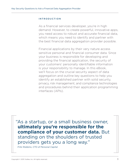### INTRODUCTION

As a financial services developer, you're in high demand. However, to create powerful, innovative apps, you need access to robust and accurate financial data, which means you need to identify and partner with the best financial data aggregation provider possible.

Financial applications by their very nature access sensitive personal and financial consumer data. Since your business is responsible for developing and providing the financial application, the security of your customers' personally identifiable information is your responsibility to manage. In this eBook, we'll focus on the crucial security aspect of data aggregation and outline key questions to help you identify an established partner with solid security, privacy, risk management, and compliance technologies and procedures behind their application programming interfaces (APIs).

"As a startup, or a small business owner, **ultimately you're responsible for the compliance of your customer data.** But standing on the shoulders of trusted providers gets you a long way."

*Fritz Robbins, CTO of Personal Capital*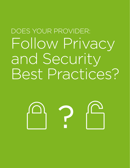### DOES YOUR PROVIDER: Follow Privacy and Security Best Practices?

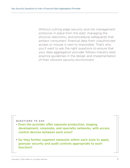Without cutting edge security and risk management protocols in place from the start, managing the physical, electronic, and procedural safeguards that protect consumers' financial data from unauthorized access or misuse is next to impossible. That's why you'll want to ask the right questions to ensure that your data aggregation provider follows industry best practice guidelines in the design and implementation of their network security environment.

- Does the provider offer separate production, staging, development, corporate, and specialty networks, with access control devices between each zone?
- Do they further segment networks within each zone to apply granular security and audit controls appropriate to each function?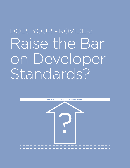### DOES YOUR PROVIDER: Raise the Bar on Developer Standards?

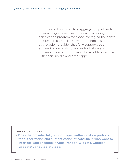It's important for your data aggregation partner to maintain high developer standards, including a certification program for those leveraging their data and resources. You'll also want to choose a data aggregation provider that fully supports open authentication protocol for authorization and authentication of consumers who want to interface with social media and other apps.

### QUESTION TO ASK

• Does the provider fully support open authentication protocol for authorization and authentication of consumers who want to interface with Facebook® Apps, Yahoo!® Widgets, Google® Gadgets™, and Apple® Apps?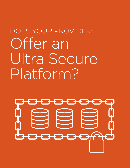### DOES YOUR PROVIDER: Offer an Ultra Secure Platform?

# -888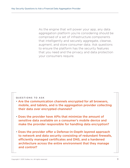As the engine that will power your app, any data aggregation platform you're considering should be comprised of a set of infrastructure components that intelligently and securely aggregate, cleanse, augment, and store consumer data. Ask questions to ensure the platform has the security features that you need and the privacy and data protection your consumers require.

- Are the communication channels encrypted for all browsers, mobile, and tablets, and is the aggregation provider collecting their data over encrypted channels?
- Does the provider have APIs that minimize the amount of sensitive data available on a consumer's mobile device and make the provider responsible for handling data encryption?
- Does the provider offer a Defense-in-Depth layered approach to network and data security consisting of redundant firewalls, efficiently managed certificates and DNS, and a hardened architecture across the entire environment that they manage and control?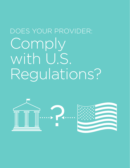### DOES YOUR PROVIDER: Comply with U.S. Regulations?

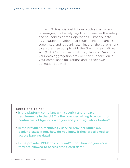In the U.S., financial institutions, such as banks and brokerages, are heavily regulated to ensure the safety and soundness of their operations. Financial data aggregation providers that touch bank data are also supervised and regularly examined by the government to ensure they comply with the Gramm-Leach-Bliley Act (GLBA) and other similar regulations. Make sure your data aggregation provider can support you in your compliance obligations and in their own obligations as well.

- Is the platform compliant with security and privacy requirements in the U.S.? Is the provider willing to enter into contractual obligations with you and your regulatory bodies?
- Is the provider a technology service provider under U.S. banking laws? If not, how do you know if they are allowed to access banking data?
- Is the provider PCI-DSS compliant? If not, how do you know if they are allowed to access credit card data?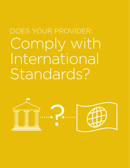### DOES YOUR PROVIDER: Comply with International Standards?

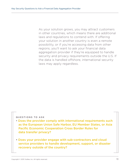As your solution grows, you may attract customers in other countries, which means there are additional laws and regulations to contend with. If offering your solution in another country is even a remote possibility, or if you're accessing data from other regions, you'll want to ask your financial data aggregation provider if they're equipped to handle security and privacy requirements outside the U.S. If the data is handled offshore, international security laws may apply regardless.

- Does the provider comply with international requirements such as the European Union Safe Harbor, EU Member States, or Asia Pacific Economic Cooperation Cross Border Rules for data transfer privacy?
- Does your provider engage with sub-contractors and cloud service providers to handle development, support, or disaster recovery outside of the country?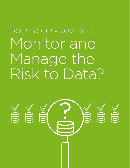### DOES YOUR PROVIDER: Monitor and Manage the Risk to Data?

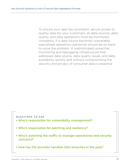To ensure your app has consistent, secure access to quality data for your customers, all data sources, data quality, and data operations must be monitored constantly. If a data source becomes unavailable, specialized operations personnel should be on hand to solve the problem. A sophisticated, proactive monitoring and debugging infrastructure that addresses data source, data quality issues, and data availability quickly and without compromising the security and privacy of consumer data is essential.

- Who's responsible for vulnerability management?
- Who's responsible for patching and resiliency?
- Who's watching the traffic to manage operational and security concerns?
- How has the provider handled data breaches in the past?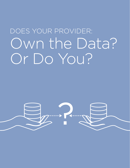### DOES YOUR PROVIDER: Own the Data? Or Do You?

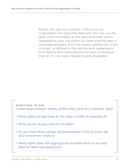Before you sign the contract, make sure you understand who owns the data and who can use the data, since ultimately, as the data controller, you're obligated to your customers to make sure the data is used appropriately. If it's not clearly spelled out in the contract or defined in the service level agreements with liability and repercussions for non-compliance, then it's in your best interest to look elsewhere.

- Does your contract clearly define who owns the customer data?
- What rights do you have to the data in order to maintain it?
- What access do you have to the data?
- Do you have direct access via the provider's APIs to carry out your consumers' wishes?
- What rights does the aggregation provider have to use that data for their own purposes?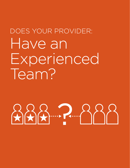### DOES YOUR PROVIDER: Have an Experienced Team?

 $222$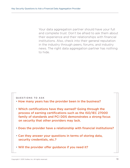Your data aggregation partner should have your full and complete trust. Don't be afraid to ask them about their experience and their relationships with financial institutions. Also, check into their general reputation in the industry through peers, forums, and industry news. The right data aggregation partner has nothing to hide.

- How many years has the provider been in the business?
- Which certifications have they earned? Going through the process of earning certifications such as the ISO/IEC 27000 family of standards and PCI DDS demonstrates a strong focus on security that other providers may lack.
- Does the provider have a relationship with financial institutions?
- Can they answer your questions in terms of storing data, security credentials, etc.?
- Will the provider offer guidance if you need it?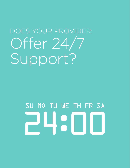### DOES YOUR PROVIDER: Offer 24/7 Support?

## SU MO TU WE TH FR SA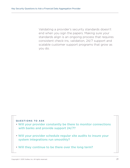Validating a provider's security standards doesn't end when you sign the papers. Making sure your standards align is an ongoing process that requires consistent check-ins, validation, 24/7 support and scalable customer support programs that grow as you do.

- Will your provider constantly be there to monitor connections with banks and provide support 24/7?
- Will your provider schedule regular site audits to insure your system integrations run smoothly?
- Will they continue to be there over the long term?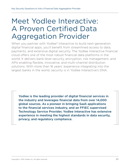### Meet Yodlee Interactive: A Proven Certified Data Aggregation Provider

When you partner with Yodlee<sup>®</sup> Interactive to build next-generation digital financial apps, you'll benefit from streamlined access to data, payments, and extensive digital security. The Yodlee Interactive financial cloud offers one of the most robust financial data platforms in the world. It delivers bank-level security, encryption, risk management, and APIs enabling flexible, innovative, and multi-channel distribution solutions. With more than 16 years' experience integrating into the largest banks in the world, security is in Yodlee Interactive's DNA.

Yodlee is the leading provider of digital financial services in the industry and leverages financial data from over 14,000 global sources. As a pioneer in bringing SaaS applications to the financial services industry, and an FFIEC supervised Technology Service Provider, Yodlee Interactive has extensive experience in meeting the highest standards in data security, privacy, and regulatory compliance.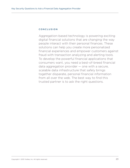### CONCLUSION

Aggregation-based technology is powering exciting digital financial solutions that are changing the way people interact with their personal finances. These solutions can help you create more personalized financial experiences and empower customers against fraud with transaction analyzing and alerting tools. To develop the powerful financial applications that consumers want, you need a best-of-breed financial data aggregation provider — one with a secure, scalable data infrastructure that safely brings together disparate, personal financial information from all over the web. The best way to find this trusted partner is to ask the right questions.